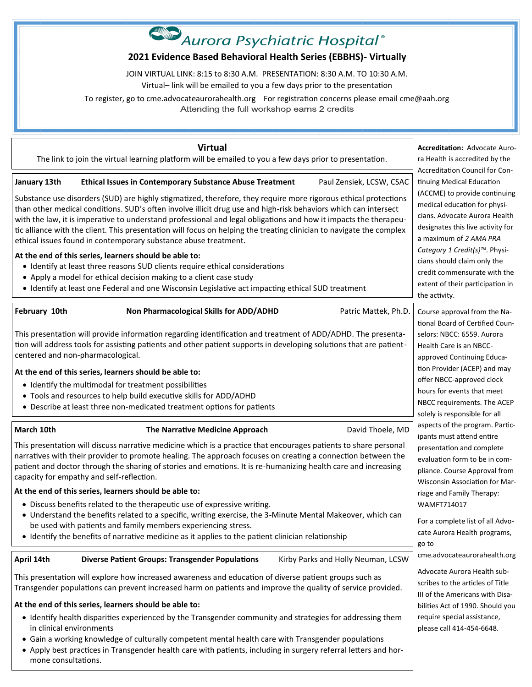# **2021 Evidence Based Behavioral Health Series (EBBHS)- Virtually**

JOIN VIRTUAL LINK: 8:15 to 8:30 A.M. PRESENTATION: 8:30 A.M. TO 10:30 A.M.

Virtual– link will be emailed to you a few days prior to the presentation

To register, go to cme.advocateaurorahealth.org For registration concerns please email cme@aah.org Attending the full workshop earns 2 credits

**Virtual**

The link to join the virtual learning platform will be emailed to you a few days prior to presentation.

January 13th Ethical Issues in Contemporary Substance Abuse Treatment Paul Zensiek, LCSW, CSAC

Substance use disorders (SUD) are highly stigmatized, therefore, they require more rigorous ethical protections than other medical conditions. SUD's often involve illicit drug use and high-risk behaviors which can intersect with the law, it is imperative to understand professional and legal obligations and how it impacts the therapeutic alliance with the client. This presentation will focus on helping the treating clinician to navigate the complex ethical issues found in contemporary substance abuse treatment.

### **At the end of this series, learners should be able to:**

- Identify at least three reasons SUD clients require ethical considerations
- Apply a model for ethical decision making to a client case study
- Identify at least one Federal and one Wisconsin Legislative act impacting ethical SUD treatment

**February 10th Commatter Commatter Additional Skills for ADD/ADHD** Patric Mattek, Ph.D.

This presentation will provide information regarding identification and treatment of ADD/ADHD. The presentation will address tools for assisting patients and other patient supports in developing solutions that are patientcentered and non-pharmacological.

### **At the end of this series, learners should be able to:**

- Identify the multimodal for treatment possibilities
- Tools and resources to help build executive skills for ADD/ADHD
- Describe at least three non-medicated treatment options for patients

**March 10th The Narrative Medicine Approach March 10th David Thoele, MD** 

This presentation will discuss narrative medicine which is a practice that encourages patients to share personal narratives with their provider to promote healing. The approach focuses on creating a connection between the patient and doctor through the sharing of stories and emotions. It is re-humanizing health care and increasing capacity for empathy and self-reflection.

### **At the end of this series, learners should be able to:**

- Discuss benefits related to the therapeutic use of expressive writing.
- Understand the benefits related to a specific, writing exercise, the 3-Minute Mental Makeover, which can be used with patients and family members experiencing stress.
- Identify the benefits of narrative medicine as it applies to the patient clinician relationship

**April 14th Diverse Patient Groups: Transgender Populations** Kirby Parks and Holly Neuman, LCSW

This presentation will explore how increased awareness and education of diverse patient groups such as Transgender populations can prevent increased harm on patients and improve the quality of service provided.

### **At the end of this series, learners should be able to:**

- Identify health disparities experienced by the Transgender community and strategies for addressing them in clinical environments
- Gain a working knowledge of culturally competent mental health care with Transgender populations
- Apply best practices in Transgender health care with patients, including in surgery referral letters and hormone consultations.

**Accreditation:** Advocate Aurora Health is accredited by the Accreditation Council for Continuing Medical Education (ACCME) to provide continuing medical education for physicians. Advocate Aurora Health designates this live activity for a maximum of *2 AMA PRA Category 1 Credit(s)™*. Physicians should claim only the credit commensurate with the extent of their participation in the activity. Course approval from the National Board of Certified Counselors: NBCC: 6559. Aurora Health Care is an NBCCapproved Continuing Education Provider (ACEP) and may offer NBCC-approved clock hours for events that meet NBCC requirements. The ACEP

solely is responsible for all aspects of the program. Participants must attend entire presentation and complete evaluation form to be in compliance. Course Approval from Wisconsin Association for Marriage and Family Therapy:

WAMFT714017

go to

For a complete list of all Advocate Aurora Health programs,

cme.advocateaurorahealth.org

please call 414-454-6648.

Advocate Aurora Health subscribes to the articles of Title III of the Americans with Disabilities Act of 1990. Should you require special assistance,